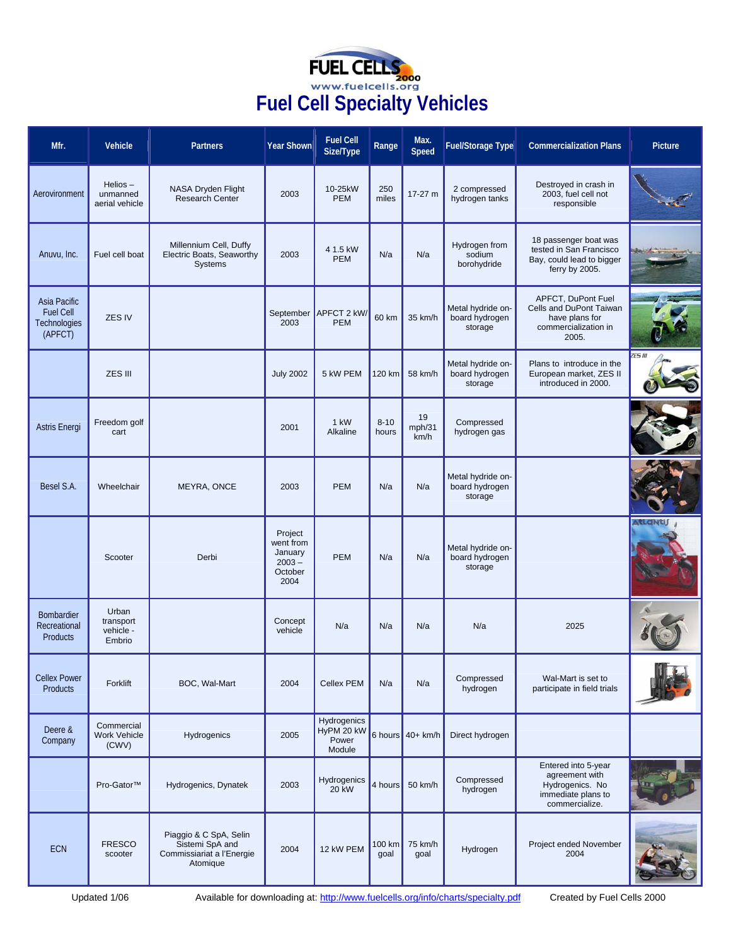| <b>FUEL CELLS</b><br>2000           |
|-------------------------------------|
| www.fuelcells.org                   |
| <b>Fuel Cell Specialty Vehicles</b> |

| Mfr.                                                        | Vehicle                                   | <b>Partners</b>                                                                    | Year Shown                                                     | <b>Fuel Cell</b><br>Size/Type                | Range             | Max.<br>Speed        | <b>Fuel/Storage Type</b>                       | <b>Commercialization Plans</b>                                                                   | Picture       |
|-------------------------------------------------------------|-------------------------------------------|------------------------------------------------------------------------------------|----------------------------------------------------------------|----------------------------------------------|-------------------|----------------------|------------------------------------------------|--------------------------------------------------------------------------------------------------|---------------|
| Aerovironment                                               | $Helios -$<br>unmanned<br>aerial vehicle  | NASA Dryden Flight<br>Research Center                                              | 2003                                                           | 10-25kW<br><b>PEM</b>                        | 250<br>miles      | 17-27 m              | 2 compressed<br>hydrogen tanks                 | Destroyed in crash in<br>2003, fuel cell not<br>responsible                                      |               |
| Anuvu, Inc.                                                 | Fuel cell boat                            | Millennium Cell, Duffy<br>Electric Boats, Seaworthy<br><b>Systems</b>              | 2003                                                           | 4 1.5 kW<br><b>PEM</b>                       | N/a               | N/a                  | Hydrogen from<br>sodium<br>borohydride         | 18 passenger boat was<br>tested in San Francisco<br>Bay, could lead to bigger<br>ferry by 2005.  |               |
| Asia Pacific<br><b>Fuel Cell</b><br>Technologies<br>(APFCT) | ZES IV                                    |                                                                                    | 2003                                                           | September   APFCT 2 kW/<br><b>PEM</b>        | 60 km             | 35 km/h              | Metal hydride on-<br>board hydrogen<br>storage | APFCT, DuPont Fuel<br>Cells and DuPont Taiwan<br>have plans for<br>commercialization in<br>2005. |               |
|                                                             | ZES III                                   |                                                                                    | <b>July 2002</b>                                               | 5 kW PEM                                     | 120 km            | 58 km/h              | Metal hydride on-<br>board hydrogen<br>storage | Plans to introduce in the<br>European market, ZES II<br>introduced in 2000.                      | <b>FS III</b> |
| <b>Astris Energi</b>                                        | Freedom golf<br>cart                      |                                                                                    | 2001                                                           | 1 kW<br>Alkaline                             | $8 - 10$<br>hours | 19<br>mph/31<br>km/h | Compressed<br>hydrogen gas                     |                                                                                                  |               |
| Besel S.A.                                                  | Wheelchair                                | MEYRA, ONCE                                                                        | 2003                                                           | <b>PEM</b>                                   | N/a               | N/a                  | Metal hydride on-<br>board hydrogen<br>storage |                                                                                                  |               |
|                                                             | Scooter                                   | Derbi                                                                              | Project<br>went from<br>January<br>$2003 -$<br>October<br>2004 | <b>PEM</b>                                   | N/a               | N/a                  | Metal hydride on-<br>board hydrogen<br>storage |                                                                                                  | AtLaNti       |
| Bombardier<br>Recreational<br><b>Products</b>               | Urban<br>transport<br>vehicle -<br>Embrio |                                                                                    | Concept<br>vehicle                                             | N/a                                          | N/a               | N/a                  | N/a                                            | 2025                                                                                             |               |
| <b>Cellex Power</b><br>Products                             | Forklift                                  | BOC, Wal-Mart                                                                      | 2004                                                           | <b>Cellex PEM</b>                            | N/a               | N/a                  | Compressed<br>hydrogen                         | Wal-Mart is set to<br>participate in field trials                                                |               |
| Deere &<br>Company                                          | Commercial<br>Work Vehicle<br>(CWV)       | Hydrogenics                                                                        | 2005                                                           | Hydrogenics<br>HyPM 20 kW<br>Power<br>Module |                   | 6 hours 40+ km/h     | Direct hydrogen                                |                                                                                                  |               |
|                                                             | Pro-Gator™                                | Hydrogenics, Dynatek                                                               | 2003                                                           | Hydrogenics<br><b>20 kW</b>                  |                   | 4 hours 50 km/h      | Compressed<br>hydrogen                         | Entered into 5-year<br>agreement with<br>Hydrogenics. No<br>immediate plans to<br>commercialize. |               |
| ECN                                                         | <b>FRESCO</b><br>scooter                  | Piaggio & C SpA, Selin<br>Sistemi SpA and<br>Commissiariat a l'Energie<br>Atomique | 2004                                                           | 12 kW PEM                                    | 100 km<br>goal    | 75 km/h<br>goal      | Hydrogen                                       | Project ended November<br>2004                                                                   |               |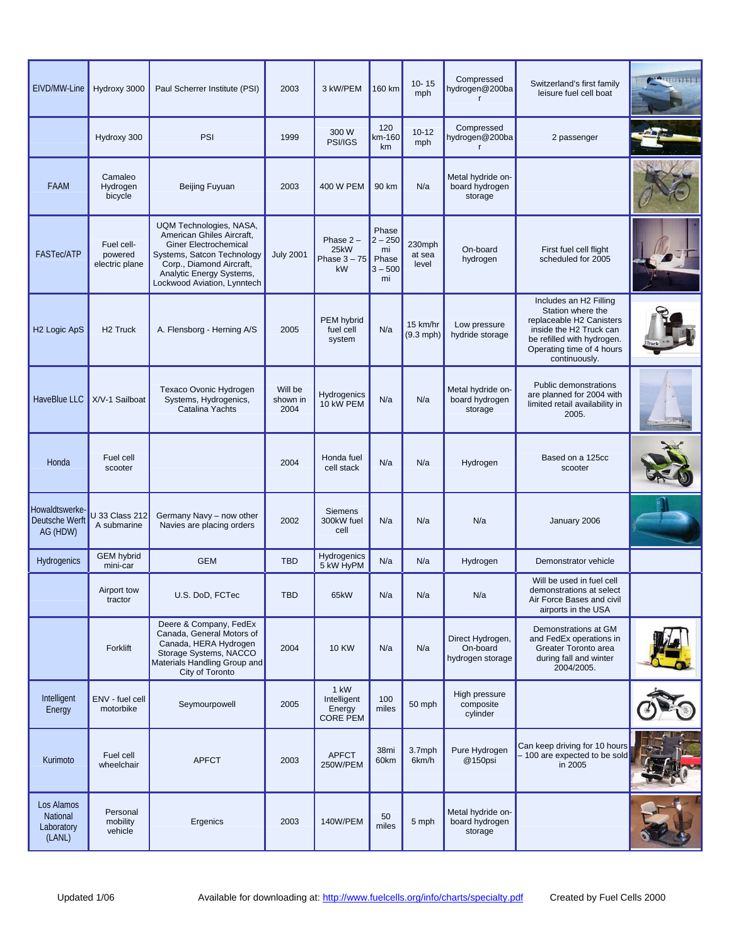| EIVD/MW-Line                                   | Hydroxy 3000                            | Paul Scherrer Institute (PSI)                                                                                                                                                                             | 2003                        | 3 kW/PEM                                         | 160 km                                               | $10 - 15$<br>mph          | Compressed<br>hydrogen@200ba<br>$\mathsf{r}$     | Switzerland's first family<br>leisure fuel cell boat                                                                                                                           | <b>ANGELIA DE L'ANGEL</b> |
|------------------------------------------------|-----------------------------------------|-----------------------------------------------------------------------------------------------------------------------------------------------------------------------------------------------------------|-----------------------------|--------------------------------------------------|------------------------------------------------------|---------------------------|--------------------------------------------------|--------------------------------------------------------------------------------------------------------------------------------------------------------------------------------|---------------------------|
|                                                | Hydroxy 300                             | PSI                                                                                                                                                                                                       | 1999                        | 300 W<br>PSI/IGS                                 | 120<br>km-160<br>km                                  | $10 - 12$<br>mph          | Compressed<br>hydrogen@200ba                     | 2 passenger                                                                                                                                                                    |                           |
| FAAM                                           | Camaleo<br>Hydrogen<br>bicycle          | Beijing Fuyuan                                                                                                                                                                                            | 2003                        | 400 W PEM                                        | 90 km                                                | N/a                       | Metal hydride on-<br>board hydrogen<br>storage   |                                                                                                                                                                                |                           |
| <b>FASTec/ATP</b>                              | Fuel cell-<br>powered<br>electric plane | UQM Technologies, NASA,<br>American Ghiles Aircraft,<br><b>Giner Electrochemical</b><br>Systems, Satcon Technology<br>Corp., Diamond Aircraft,<br>Analytic Energy Systems,<br>Lockwood Aviation, Lynntech | <b>July 2001</b>            | Phase $2 -$<br>25kW<br>Phase $3 - 75$<br>kW      | Phase<br>$2 - 250$<br>mi<br>Phase<br>$3 - 500$<br>mi | 230mph<br>at sea<br>level | On-board<br>hydrogen                             | First fuel cell flight<br>scheduled for 2005                                                                                                                                   |                           |
| H <sub>2</sub> Logic ApS                       | H <sub>2</sub> Truck                    | A. Flensborg - Herning A/S                                                                                                                                                                                | 2005                        | PEM hybrid<br>fuel cell<br>system                | N/a                                                  | 15 km/hr<br>$(9.3$ mph)   | Low pressure<br>hydride storage                  | Includes an H2 Filling<br>Station where the<br>replaceable H2 Canisters<br>inside the H2 Truck can<br>be refilled with hydrogen.<br>Operating time of 4 hours<br>continuously. |                           |
| HaveBlue LLC                                   | X/V-1 Sailboat                          | Texaco Ovonic Hydrogen<br>Systems, Hydrogenics,<br>Catalina Yachts                                                                                                                                        | Will be<br>shown in<br>2004 | Hydrogenics<br>10 kW PEM                         | N/a                                                  | N/a                       | Metal hydride on-<br>board hydrogen<br>storage   | Public demonstrations<br>are planned for 2004 with<br>limited retail availability in<br>2005.                                                                                  |                           |
| Honda                                          | Fuel cell<br>scooter                    |                                                                                                                                                                                                           | 2004                        | Honda fuel<br>cell stack                         | N/a                                                  | N/a                       | Hydrogen                                         | Based on a 125cc<br>scooter                                                                                                                                                    |                           |
| Howaldtswerke-<br>Deutsche Werft<br>AG (HDW)   | J 33 Class 212<br>A submarine           | Germany Navy - now other<br>Navies are placing orders                                                                                                                                                     | 2002                        | <b>Siemens</b><br>300kW fuel<br>cell             | N/a                                                  | N/a                       | N/a                                              | January 2006                                                                                                                                                                   |                           |
| Hydrogenics                                    | <b>GEM hybrid</b><br>mini-car           | <b>GEM</b>                                                                                                                                                                                                | <b>TBD</b>                  | Hydrogenics<br>5 kW HyPM                         | N/a                                                  | N/a                       | Hydrogen                                         | Demonstrator vehicle                                                                                                                                                           |                           |
|                                                | Airport tow<br>tractor                  | U.S. DoD, FCTec                                                                                                                                                                                           | <b>TBD</b>                  | 65kW                                             | N/a                                                  | N/a                       | N/a                                              | Will be used in fuel cell<br>demonstrations at select<br>Air Force Bases and civil<br>airports in the USA                                                                      |                           |
|                                                | Forklift                                | Deere & Company, FedEx<br>Canada, General Motors of<br>Canada, HERA Hydrogen<br>Storage Systems, NACCO<br>Materials Handling Group and<br>City of Toronto                                                 | 2004                        | <b>10 KW</b>                                     | N/a                                                  | N/a                       | Direct Hydrogen,<br>On-board<br>hydrogen storage | Demonstrations at GM<br>and FedEx operations in<br>Greater Toronto area<br>during fall and winter<br>2004/2005.                                                                |                           |
| Intelligent<br>Energy                          | ENV - fuel cell<br>motorbike            | Seymourpowell                                                                                                                                                                                             | 2005                        | 1 kW<br>Intelligent<br>Energy<br><b>CORE PEM</b> | 100<br>miles                                         | 50 mph                    | High pressure<br>composite<br>cylinder           |                                                                                                                                                                                |                           |
| Kurimoto                                       | Fuel cell<br>wheelchair                 | <b>APFCT</b>                                                                                                                                                                                              | 2003                        | <b>APFCT</b><br>250W/PEM                         | 38mi<br>60km                                         | 3.7mph<br>6km/h           | Pure Hydrogen<br>@150psi                         | Can keep driving for 10 hours<br>- 100 are expected to be sold<br>in 2005                                                                                                      |                           |
| Los Alamos<br>National<br>Laboratory<br>(LANL) | Personal<br>mobility<br>vehicle         | Ergenics                                                                                                                                                                                                  | 2003                        | 140W/PEM                                         | 50<br>miles                                          | 5 mph                     | Metal hydride on-<br>board hydrogen<br>storage   |                                                                                                                                                                                |                           |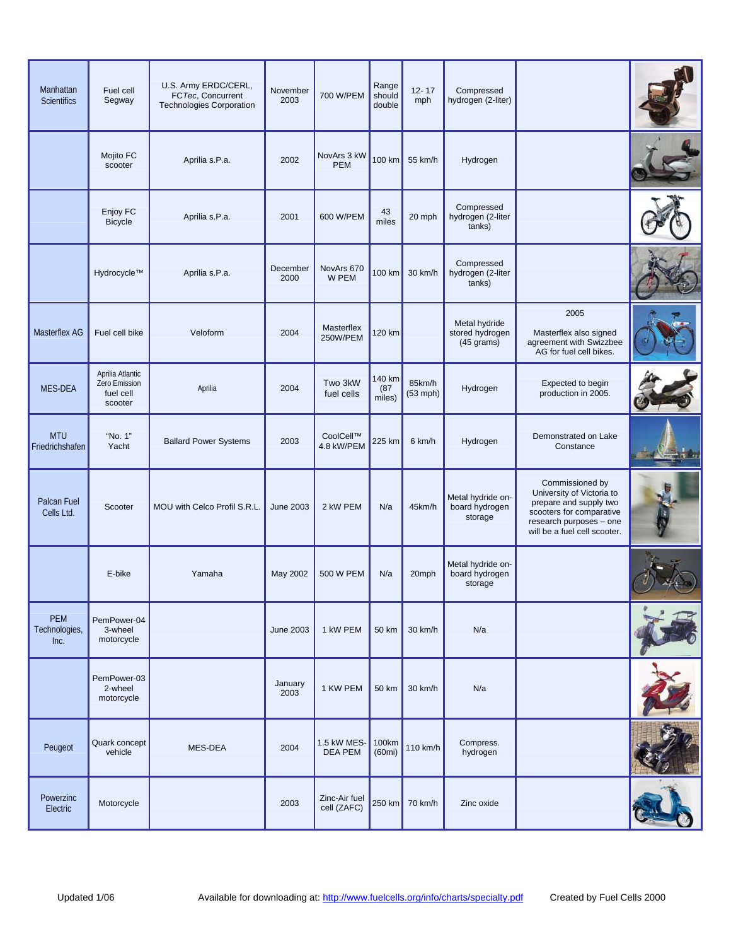| Manhattan<br><b>Scientifics</b>     | Fuel cell<br>Segway                                       | U.S. Army ERDC/CERL,<br>FCTec, Concurrent<br>Technologies Corporation | November<br>2003 | 700 W/PEM                     | Range<br>should<br>double | $12 - 17$<br>mph     | Compressed<br>hydrogen (2-liter)                         |                                                                                                                                                               |  |
|-------------------------------------|-----------------------------------------------------------|-----------------------------------------------------------------------|------------------|-------------------------------|---------------------------|----------------------|----------------------------------------------------------|---------------------------------------------------------------------------------------------------------------------------------------------------------------|--|
|                                     | Mojito FC<br>scooter                                      | Aprilia s.P.a.                                                        | 2002             | NovArs 3 kW<br><b>PEM</b>     | 100 km                    | 55 km/h              | Hydrogen                                                 |                                                                                                                                                               |  |
|                                     | Enjoy FC<br><b>Bicycle</b>                                | Aprilia s.P.a.                                                        | 2001             | 600 W/PEM                     | 43<br>miles               | 20 mph               | Compressed<br>hydrogen (2-liter<br>tanks)                |                                                                                                                                                               |  |
|                                     | Hydrocycle™                                               | Aprilia s.P.a.                                                        | December<br>2000 | NovArs 670<br>W PEM           | 100 km                    | 30 km/h              | Compressed<br>hydrogen (2-liter<br>tanks)                |                                                                                                                                                               |  |
| Masterflex AG                       | Fuel cell bike                                            | Veloform                                                              | 2004             | Masterflex<br>250W/PEM        | 120 km                    |                      | Metal hydride<br>stored hydrogen<br>$(45 \text{ grams})$ | 2005<br>Masterflex also signed<br>agreement with Swizzbee<br>AG for fuel cell bikes.                                                                          |  |
| MES-DEA                             | Aprilia Atlantic<br>Zero Emission<br>fuel cell<br>scooter | Aprilia                                                               | 2004             | Two 3kW<br>fuel cells         | 140 km<br>(87)<br>miles)  | 85km/h<br>$(53$ mph) | Hydrogen                                                 | Expected to begin<br>production in 2005.                                                                                                                      |  |
| <b>MTU</b><br>Friedrichshafen       | "No. 1"<br>Yacht                                          | <b>Ballard Power Systems</b>                                          | 2003             | CoolCell™<br>4.8 kW/PEM       | 225 km                    | 6 km/h               | Hydrogen                                                 | Demonstrated on Lake<br>Constance                                                                                                                             |  |
| Palcan Fuel<br>Cells Ltd.           | Scooter                                                   | MOU with Celco Profil S.R.L.                                          | <b>June 2003</b> | 2 kW PEM                      | N/a                       | 45km/h               | Metal hydride on-<br>board hydrogen<br>storage           | Commissioned by<br>University of Victoria to<br>prepare and supply two<br>scooters for comparative<br>research purposes - one<br>will be a fuel cell scooter. |  |
|                                     | E-bike                                                    | Yamaha                                                                | May 2002         | 500 W PEM                     | N/a                       | 20mph                | Metal hydride on-<br>board hydrogen<br>storage           |                                                                                                                                                               |  |
| <b>PEM</b><br>Technologies,<br>Inc. | PemPower-04<br>3-wheel<br>motorcycle                      |                                                                       | <b>June 2003</b> | 1 kW PEM                      | <b>50 km</b>              | 30 km/h              | N/a                                                      |                                                                                                                                                               |  |
|                                     | PemPower-03<br>2-wheel<br>motorcycle                      |                                                                       | January<br>2003  | 1 KW PEM                      | 50 km                     | 30 km/h              | N/a                                                      |                                                                                                                                                               |  |
| Peugeot                             | Quark concept<br>vehicle                                  | MES-DEA                                                               | 2004             | 1.5 kW MES-<br><b>DEA PEM</b> | 100km<br>(60mi)           | 110 km/h             | Compress.<br>hydrogen                                    |                                                                                                                                                               |  |
| Powerzinc<br>Electric               | Motorcycle                                                |                                                                       | 2003             | Zinc-Air fuel<br>cell (ZAFC)  | 250 km                    | 70 km/h              | Zinc oxide                                               |                                                                                                                                                               |  |